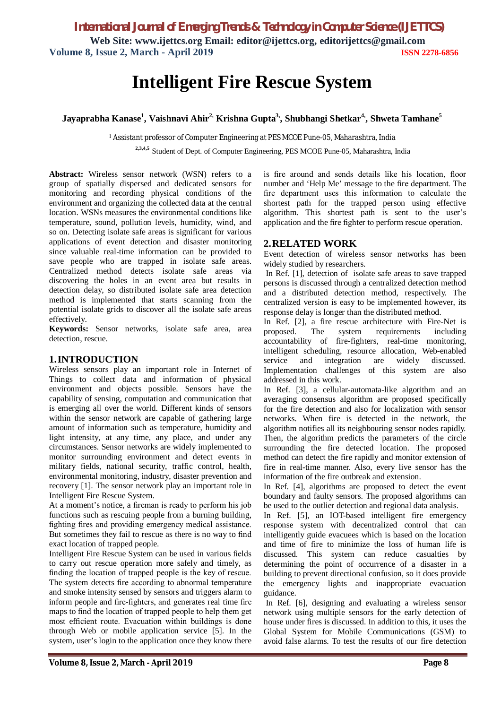*International Journal of Emerging Trends & Technology in Computer Science (IJETTCS)*

**Web Site: www.ijettcs.org Email: editor@ijettcs.org, editorijettcs@gmail.com Volume 8, Issue 2, March - April 2019 ISSN 2278-6856**

# **Intelligent Fire Rescue System**

# **Jayaprabha Kanase<sup>1</sup> , Vaishnavi Ahir2, Krishna Gupta3,, Shubhangi Shetkar4,, Shweta Tamhane<sup>5</sup>**

<sup>1</sup>Assistant professor of Computer Engineering at PES MCOE Pune-05, Maharashtra, India

 **2,3,4,5** Student of Dept. of Computer Engineering, PES MCOE Pune-05, Maharashtra, India

**Abstract:** Wireless sensor network (WSN) refers to a group of spatially dispersed and dedicated sensors for monitoring and recording physical conditions of the environment and organizing the collected data at the central location. WSNs measures the environmental conditions like temperature, sound, pollution levels, humidity, wind, and so on. Detecting isolate safe areas is significant for various applications of event detection and disaster monitoring since valuable real-time information can be provided to save people who are trapped in isolate safe areas. Centralized method detects isolate safe areas via discovering the holes in an event area but results in detection delay, so distributed isolate safe area detection method is implemented that starts scanning from the potential isolate grids to discover all the isolate safe areas effectively.

**Keywords:** Sensor networks, isolate safe area, area detection, rescue.

# **1.INTRODUCTION**

Wireless sensors play an important role in Internet of Things to collect data and information of physical environment and objects possible. Sensors have the capability of sensing, computation and communication that is emerging all over the world. Different kinds of sensors within the sensor network are capable of gathering large amount of information such as temperature, humidity and light intensity, at any time, any place, and under any circumstances. Sensor networks are widely implemented to monitor surrounding environment and detect events in military fields, national security, traffic control, health, environmental monitoring, industry, disaster prevention and recovery [1]. The sensor network play an important role in Intelligent Fire Rescue System.

At a moment's notice, a fireman is ready to perform his job functions such as rescuing people from a burning building, fighting fires and providing emergency medical assistance. But sometimes they fail to rescue as there is no way to find exact location of trapped people.

Intelligent Fire Rescue System can be used in various fields to carry out rescue operation more safely and timely, as finding the location of trapped people is the key of rescue. The system detects fire according to abnormal temperature and smoke intensity sensed by sensors and triggers alarm to inform people and fire-fighters, and generates real time fire maps to find the location of trapped people to help them get most efficient route. Evacuation within buildings is done through Web or mobile application service [5]. In the system, user's login to the application once they know there is fire around and sends details like his location, floor number and 'Help Me' message to the fire department. The fire department uses this information to calculate the shortest path for the trapped person using effective algorithm. This shortest path is sent to the user's application and the fire fighter to perform rescue operation.

#### **2.RELATED WORK**

Event detection of wireless sensor networks has been widely studied by researchers.

In Ref. [1], detection of isolate safe areas to save trapped persons is discussed through a centralized detection method and a distributed detection method, respectively. The centralized version is easy to be implemented however, its response delay is longer than the distributed method.

In Ref. [2], a fire rescue architecture with Fire-Net is proposed. The system requirements including accountability of fire-fighters, real-time monitoring, intelligent scheduling, resource allocation, Web-enabled service and integration are widely discussed. Implementation challenges of this system are also addressed in this work.

In Ref. [3], a cellular-automata-like algorithm and an averaging consensus algorithm are proposed specifically for the fire detection and also for localization with sensor networks. When fire is detected in the network, the algorithm notifies all its neighbouring sensor nodes rapidly. Then, the algorithm predicts the parameters of the circle surrounding the fire detected location. The proposed method can detect the fire rapidly and monitor extension of fire in real-time manner. Also, every live sensor has the information of the fire outbreak and extension.

In Ref. [4], algorithms are proposed to detect the event boundary and faulty sensors. The proposed algorithms can be used to the outlier detection and regional data analysis.

In Ref. [5], an IOT-based intelligent fire emergency response system with decentralized control that can intelligently guide evacuees which is based on the location and time of fire to minimize the loss of human life is discussed. This system can reduce casualties by determining the point of occurrence of a disaster in a building to prevent directional confusion, so it does provide the emergency lights and inappropriate evacuation guidance.

In Ref. [6], designing and evaluating a wireless sensor network using multiple sensors for the early detection of house under fires is discussed. In addition to this, it uses the Global System for Mobile Communications (GSM) to avoid false alarms. To test the results of our fire detection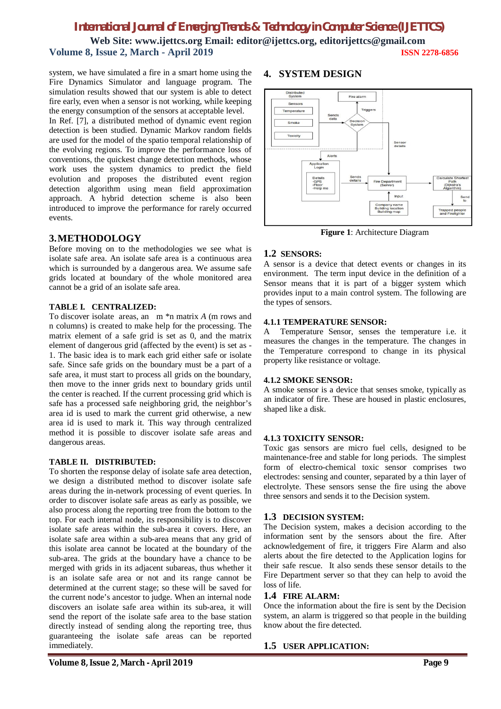# *International Journal of Emerging Trends & Technology in Computer Science (IJETTCS)* **Web Site: www.ijettcs.org Email: editor@ijettcs.org, editorijettcs@gmail.com Volume 8, Issue 2, March - April 2019 ISSN 2278-6856**

system, we have simulated a fire in a smart home using the Fire Dynamics Simulator and language program. The simulation results showed that our system is able to detect fire early, even when a sensor is not working, while keeping the energy consumption of the sensors at acceptable level.

In Ref. [7], a distributed method of dynamic event region detection is been studied. Dynamic Markov random fields are used for the model of the spatio temporal relationship of the evolving regions. To improve the performance loss of conventions, the quickest change detection methods, whose work uses the system dynamics to predict the field evolution and proposes the distributed event region detection algorithm using mean field approximation approach. A hybrid detection scheme is also been introduced to improve the performance for rarely occurred events.

# **3.METHODOLOGY**

Before moving on to the methodologies we see what is isolate safe area. An isolate safe area is a continuous area which is surrounded by a dangerous area. We assume safe grids located at boundary of the whole monitored area cannot be a grid of an isolate safe area.

#### **TABLE I. CENTRALIZED:**

To discover isolate areas, an m \*n matrix *A* (m rows and n columns) is created to make help for the processing. The matrix element of a safe grid is set as 0, and the matrix element of dangerous grid (affected by the event) is set as - 1. The basic idea is to mark each grid either safe or isolate safe. Since safe grids on the boundary must be a part of a safe area, it must start to process all grids on the boundary, then move to the inner grids next to boundary grids until the center is reached. If the current processing grid which is safe has a processed safe neighboring grid, the neighbor's area id is used to mark the current grid otherwise, a new area id is used to mark it. This way through centralized method it is possible to discover isolate safe areas and dangerous areas.

#### **TABLE II. DISTRIBUTED:**

To shorten the response delay of isolate safe area detection, we design a distributed method to discover isolate safe areas during the in-network processing of event queries. In order to discover isolate safe areas as early as possible, we also process along the reporting tree from the bottom to the top. For each internal node, its responsibility is to discover isolate safe areas within the sub-area it covers. Here, an isolate safe area within a sub-area means that any grid of this isolate area cannot be located at the boundary of the sub-area. The grids at the boundary have a chance to be merged with grids in its adjacent subareas, thus whether it is an isolate safe area or not and its range cannot be determined at the current stage; so these will be saved for the current node's ancestor to judge. When an internal node discovers an isolate safe area within its sub-area, it will send the report of the isolate safe area to the base station directly instead of sending along the reporting tree, thus guaranteeing the isolate safe areas can be reported immediately.

# **4. SYSTEM DESIGN**



**Figure 1**: Architecture Diagram

# **1.2 SENSORS:**

A sensor is a device that detect events or changes in its environment. The term input device in the definition of a Sensor means that it is part of a bigger system which provides input to a main control system. The following are the types of sensors.

#### **4.1.1 TEMPERATURE SENSOR:**

A Temperature Sensor, senses the temperature i.e. it measures the changes in the temperature. The changes in the Temperature correspond to change in its physical property like resistance or voltage.

#### **4.1.2 SMOKE SENSOR:**

A smoke sensor is a device that senses smoke, typically as an indicator of fire. These are housed in plastic enclosures, shaped like a disk.

# **4.1.3 TOXICITY SENSOR:**

Toxic gas sensors are micro fuel cells, designed to be maintenance-free and stable for long periods. The simplest form of electro-chemical toxic sensor comprises two electrodes: sensing and counter, separated by a thin layer of electrolyte. These sensors sense the fire using the above three sensors and sends it to the Decision system.

# **1.3 DECISION SYSTEM:**

The Decision system, makes a decision according to the information sent by the sensors about the fire. After acknowledgement of fire, it triggers Fire Alarm and also alerts about the fire detected to the Application logins for their safe rescue. It also sends these sensor details to the Fire Department server so that they can help to avoid the loss of life.

# **1.4 FIRE ALARM:**

Once the information about the fire is sent by the Decision system, an alarm is triggered so that people in the building know about the fire detected.

# **1.5 USER APPLICATION:**